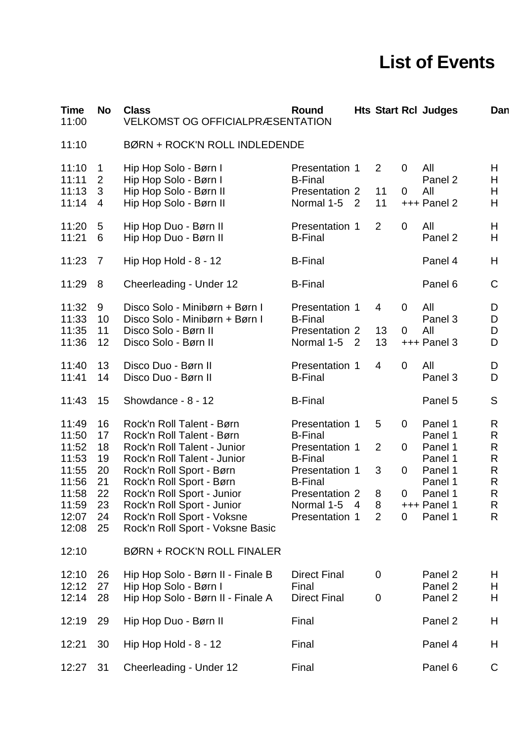## **List of Events**

| <b>Time</b><br>11:00             | No                           | <b>Class</b><br><b>VELKOMST OG OFFICIALPRÆSENTATION</b>                                                          | Round                                                              |  |                            |                     | <b>Hts Start Rcl Judges</b>            | Dan                               |  |
|----------------------------------|------------------------------|------------------------------------------------------------------------------------------------------------------|--------------------------------------------------------------------|--|----------------------------|---------------------|----------------------------------------|-----------------------------------|--|
| 11:10                            |                              | <b>BØRN + ROCK'N ROLL INDLEDENDE</b>                                                                             |                                                                    |  |                            |                     |                                        |                                   |  |
| 11:10<br>11:11                   | $\mathbf{1}$<br>$\mathbf{2}$ | Hip Hop Solo - Børn I<br>Hip Hop Solo - Børn I                                                                   | Presentation 1<br><b>B-Final</b>                                   |  | $\overline{2}$             | $\overline{0}$      | All<br>Panel 2                         | H<br>Н                            |  |
| 11:13<br>11:14                   | 3<br>4                       | Hip Hop Solo - Børn II<br>Hip Hop Solo - Børn II                                                                 | Presentation 2<br>Normal 1-5 2                                     |  | 11<br>11                   | 0                   | All<br>+++ Panel 2                     | H<br>Н                            |  |
| 11:20<br>11:21                   | 5<br>6                       | Hip Hop Duo - Børn II<br>Hip Hop Duo - Børn II                                                                   | Presentation 1<br><b>B-Final</b>                                   |  | 2                          | 0                   | All<br>Panel 2                         | Н<br>Н                            |  |
| 11:23                            | 7                            | Hip Hop Hold - 8 - 12                                                                                            | <b>B-Final</b>                                                     |  |                            |                     | Panel 4                                | H                                 |  |
| 11:29                            | 8                            | Cheerleading - Under 12                                                                                          | <b>B-Final</b>                                                     |  |                            |                     | Panel 6                                | C                                 |  |
| 11:32<br>11:33<br>11:35<br>11:36 | 9<br>10<br>11<br>12          | Disco Solo - Minibørn + Børn I<br>Disco Solo - Minibørn + Børn I<br>Disco Solo - Børn II<br>Disco Solo - Børn II | Presentation 1<br><b>B-Final</b><br>Presentation 2<br>Normal 1-5 2 |  | $\overline{4}$<br>13<br>13 | $\overline{0}$<br>0 | All<br>Panel 3<br>All<br>$+++$ Panel 3 | D<br>D<br>D<br>D                  |  |
| 11:40<br>11:41                   | 13<br>14                     | Disco Duo - Børn II<br>Disco Duo - Børn II                                                                       | Presentation 1<br><b>B-Final</b>                                   |  | $\overline{4}$             | 0                   | All<br>Panel 3                         | D<br>D                            |  |
| 11:43                            | 15                           | Showdance - 8 - 12                                                                                               | <b>B-Final</b>                                                     |  |                            |                     | Panel 5                                | S                                 |  |
| 11:49<br>11:50<br>11:52          | 16<br>17<br>18               | Rock'n Roll Talent - Børn<br>Rock'n Roll Talent - Børn<br>Rock'n Roll Talent - Junior                            | Presentation 1<br><b>B-Final</b><br>Presentation 1                 |  | 5<br>$\overline{2}$        | $\overline{0}$<br>0 | Panel 1<br>Panel 1<br>Panel 1          | R<br>R<br>R                       |  |
| 11:53<br>11:55<br>11:56          | 19<br>20<br>21               | Rock'n Roll Talent - Junior<br>Rock'n Roll Sport - Børn<br>Rock'n Roll Sport - Børn                              | <b>B-Final</b><br>Presentation 1<br><b>B-Final</b>                 |  | 3                          | 0                   | Panel 1<br>Panel 1<br>Panel 1          | R<br>$\mathsf{R}$<br>$\mathsf{R}$ |  |
| 11:58<br>11:59                   | 22<br>23                     | Rock'n Roll Sport - Junior<br>Rock'n Roll Sport - Junior                                                         | Presentation 2<br>Normal $1-5$ 4                                   |  | 8<br>8                     | $\overline{0}$      | Panel 1<br>$+++$ Panel 1               | ${\sf R}$<br>R                    |  |
| 12:07<br>12:08                   | 24<br>25                     | Rock'n Roll Sport - Voksne<br>Rock'n Roll Sport - Voksne Basic                                                   | Presentation 1                                                     |  | 2                          | $\overline{0}$      | Panel 1                                | R                                 |  |
| 12:10                            |                              | <b>BØRN + ROCK'N ROLL FINALER</b>                                                                                |                                                                    |  |                            |                     |                                        |                                   |  |
| 12:10<br>12:12<br>12:14          | 26<br>27<br>28               | Hip Hop Solo - Børn II - Finale B<br>Hip Hop Solo - Børn I<br>Hip Hop Solo - Børn II - Finale A                  | <b>Direct Final</b><br>Final<br><b>Direct Final</b>                |  | 0<br>0                     |                     | Panel 2<br>Panel 2<br>Panel 2          | Н<br>Н<br>н                       |  |
| 12:19                            | 29                           | Hip Hop Duo - Børn II                                                                                            | Final                                                              |  |                            |                     | Panel 2                                | н                                 |  |
| 12:21                            | 30                           | Hip Hop Hold - 8 - 12                                                                                            | Final                                                              |  |                            |                     | Panel 4                                | н                                 |  |
| 12:27                            | 31                           | Cheerleading - Under 12                                                                                          | Final                                                              |  |                            |                     | Panel 6                                | $\mathsf C$                       |  |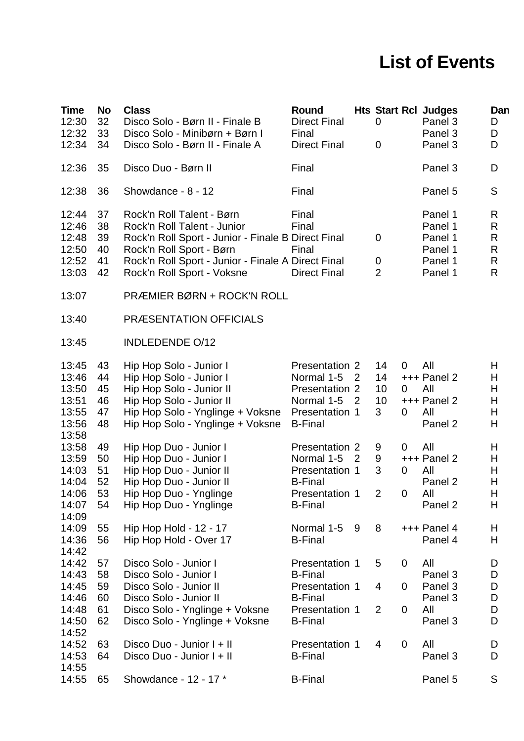## **List of Events**

| <b>Time</b><br>12:30<br>12:32<br>12:34                               | No<br>32<br>33<br>34             | <b>Class</b><br>Disco Solo - Børn II - Finale B<br>Disco Solo - Minibørn + Børn I<br>Disco Solo - Børn II - Finale A                                                                                                           | Round<br><b>Direct Final</b><br>Final<br><b>Direct Final</b>                                             |                                  | 0<br>0                                                              | <b>Hts Start Rcl Judges</b><br>Panel 3<br>Panel 3<br>Panel 3   | Dan<br>D<br>D<br>D                    |
|----------------------------------------------------------------------|----------------------------------|--------------------------------------------------------------------------------------------------------------------------------------------------------------------------------------------------------------------------------|----------------------------------------------------------------------------------------------------------|----------------------------------|---------------------------------------------------------------------|----------------------------------------------------------------|---------------------------------------|
| 12:36                                                                | 35                               | Disco Duo - Børn II                                                                                                                                                                                                            | Final                                                                                                    |                                  |                                                                     | Panel 3                                                        | D                                     |
| 12:38                                                                | 36                               | Showdance - 8 - 12                                                                                                                                                                                                             | Final                                                                                                    |                                  |                                                                     | Panel 5                                                        | S                                     |
| 12:44<br>12:46<br>12:48<br>12:50<br>12:52<br>13:03                   | 37<br>38<br>39<br>40<br>41<br>42 | Rock'n Roll Talent - Børn<br>Rock'n Roll Talent - Junior<br>Rock'n Roll Sport - Junior - Finale B Direct Final<br>Rock'n Roll Sport - Børn<br>Rock'n Roll Sport - Junior - Finale A Direct Final<br>Rock'n Roll Sport - Voksne | Final<br>Final<br>Final<br><b>Direct Final</b>                                                           |                                  | 0<br>0<br>2                                                         | Panel 1<br>Panel 1<br>Panel 1<br>Panel 1<br>Panel 1<br>Panel 1 | R<br>R<br>R<br>$\mathsf{R}$<br>R<br>R |
| 13:07                                                                |                                  | PRÆMIER BØRN + ROCK'N ROLL                                                                                                                                                                                                     |                                                                                                          |                                  |                                                                     |                                                                |                                       |
| 13:40                                                                |                                  | <b>PRÆSENTATION OFFICIALS</b>                                                                                                                                                                                                  |                                                                                                          |                                  |                                                                     |                                                                |                                       |
| 13:45                                                                |                                  | <b>INDLEDENDE O/12</b>                                                                                                                                                                                                         |                                                                                                          |                                  |                                                                     |                                                                |                                       |
| 13:45<br>13:46<br>13:50<br>13:51<br>13:55<br>13:56                   | 43<br>44<br>45<br>46<br>47<br>48 | Hip Hop Solo - Junior I<br>Hip Hop Solo - Junior I<br>Hip Hop Solo - Junior II<br>Hip Hop Solo - Junior II<br>Hip Hop Solo - Ynglinge + Voksne Presentation 1<br>Hip Hop Solo - Ynglinge + Voksne                              | Presentation 2<br>Normal 1-5<br>Presentation 2<br>Normal 1-5<br><b>B-Final</b>                           | $\overline{2}$<br>$\overline{2}$ | 14<br>$\overline{0}$<br>14<br>10<br>0<br>10<br>3<br>$\Omega$        | All<br>$++$ Panel 2<br>All<br>$++$ Panel 2<br>All<br>Panel 2   | н<br>н<br>Н<br>Н<br>н<br>н            |
| 13:58<br>13:58<br>13:59<br>14:03<br>14:04<br>14:06<br>14:07          | 49<br>50<br>51<br>52<br>53<br>54 | Hip Hop Duo - Junior I<br>Hip Hop Duo - Junior I<br>Hip Hop Duo - Junior II<br>Hip Hop Duo - Junior II<br>Hip Hop Duo - Ynglinge<br>Hip Hop Duo - Ynglinge                                                                     | Presentation 2<br>Normal 1-5<br>Presentation 1<br><b>B-Final</b><br>Presentation 1<br><b>B-Final</b>     | $\overline{2}$                   | 9<br>$\overline{0}$<br>9<br>3<br>$\mathbf 0$<br>$\overline{2}$<br>0 | All<br>$+++$ Panel 2<br>All<br>Panel 2<br>All<br>Panel 2       | H<br>Н<br>н<br>Η<br>Н<br>н            |
| 14:09<br>14:09<br>14:36                                              | 55<br>56                         | Hip Hop Hold - 12 - 17<br>Hip Hop Hold - Over 17                                                                                                                                                                               | Normal 1-5<br><b>B-Final</b>                                                                             | 9                                | 8                                                                   | $++$ Panel 4<br>Panel 4                                        | н<br>Н                                |
| 14:42<br>14:42<br>14:43<br>14:45<br>14:46<br>14:48<br>14:50<br>14:52 | 57<br>58<br>59<br>60<br>61<br>62 | Disco Solo - Junior I<br>Disco Solo - Junior I<br>Disco Solo - Junior II<br>Disco Solo - Junior II<br>Disco Solo - Ynglinge + Voksne<br>Disco Solo - Ynglinge + Voksne                                                         | Presentation 1<br><b>B-Final</b><br>Presentation 1<br><b>B-Final</b><br>Presentation 1<br><b>B-Final</b> |                                  | 5<br>0<br>4<br>$\overline{0}$<br>2<br>$\mathbf 0$                   | All<br>Panel 3<br>Panel 3<br>Panel 3<br>All<br>Panel 3         | D<br>D<br>D<br>D<br>D<br>D            |
| 14:52<br>14:53                                                       | 63<br>64                         | Disco Duo - Junior I + II<br>Disco Duo - Junior I + II                                                                                                                                                                         | Presentation 1<br><b>B-Final</b>                                                                         |                                  | 4<br>$\overline{0}$                                                 | All<br>Panel 3                                                 | D<br>D                                |
| 14:55<br>14:55                                                       | 65                               | Showdance - 12 - 17 *                                                                                                                                                                                                          | <b>B-Final</b>                                                                                           |                                  |                                                                     | Panel 5                                                        | S                                     |